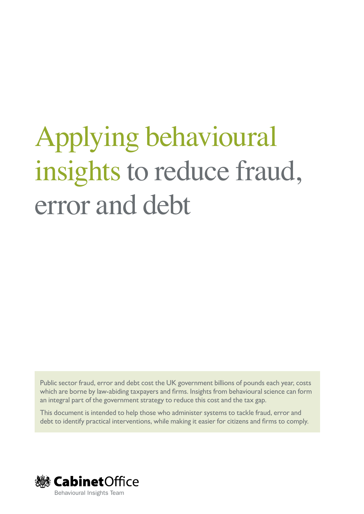# Applying behavioural insights to reduce fraud, error and debt

Public sector fraud, error and debt cost the UK government billions of pounds each year, costs which are borne by law-abiding taxpayers and firms. Insights from behavioural science can form an integral part of the government strategy to reduce this cost and the tax gap.

This document is intended to help those who administer systems to tackle fraud, error and debt to identify practical interventions, while making it easier for citizens and firms to comply.

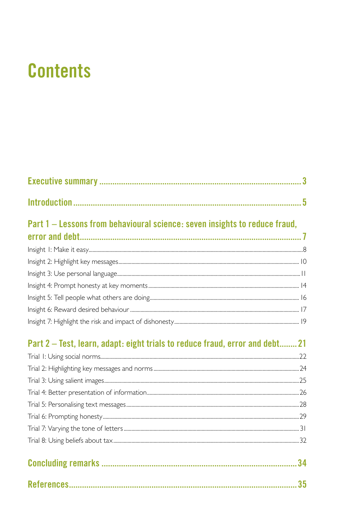## **Contents**

| Part 1 – Lessons from behavioural science: seven insights to reduce fraud,           |  |
|--------------------------------------------------------------------------------------|--|
|                                                                                      |  |
|                                                                                      |  |
|                                                                                      |  |
|                                                                                      |  |
|                                                                                      |  |
|                                                                                      |  |
|                                                                                      |  |
| <b>D</b> ant 0. That Islam is death abilitated at a matrix fund a monocolated to 04. |  |

#### Part 2 – Test, learn, adapt: eight trials to reduce fraud, error and debt........ 21 .<br>Taiah hidulaha a a alah i  $\overline{\phantom{a}}$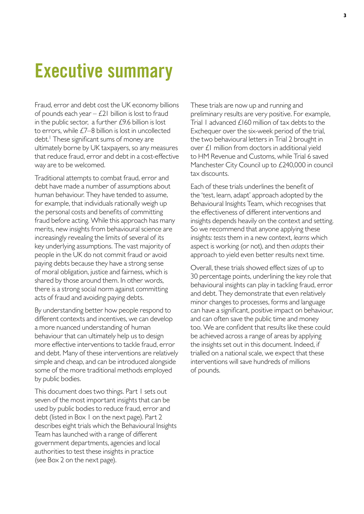## **Executive summary**

Fraud, error and debt cost the UK economy billions of pounds each year  $-$  £21 billion is lost to fraud in the public sector, a further  $£9.6$  billion is lost to errors, while £7–8 billion is lost in uncollected debt.<sup>1</sup> These significant sums of money are ultimately borne by UK taxpayers, so any measures that reduce fraud, error and debt in a cost-effective way are to be welcomed.

Traditional attempts to combat fraud, error and debt have made a number of assumptions about human behaviour. They have tended to assume, for example, that individuals rationally weigh up the personal costs and benefits of committing fraud before acting. While this approach has many merits, new insights from behavioural science are increasingly revealing the limits of several of its key underlying assumptions. The vast majority of people in the UK do not commit fraud or avoid paying debts because they have a strong sense of moral obligation, justice and fairness, which is shared by those around them. In other words, there is a strong social norm against committing acts of fraud and avoiding paying debts.

By understanding better how people respond to different contexts and incentives, we can develop a more nuanced understanding of human behaviour that can ultimately help us to design more effective interventions to tackle fraud, error and debt. Many of these interventions are relatively simple and cheap, and can be introduced alongside some of the more traditional methods employed by public bodies.

This document does two things. Part 1 sets out seven of the most important insights that can be used by public bodies to reduce fraud, error and debt (listed in Box 1 on the next page). Part 2 describes eight trials which the Behavioural Insights Team has launched with a range of different government departments, agencies and local authorities to test these insights in practice (see Box 2 on the next page).

These trials are now up and running and preliminary results are very positive. For example, Trial 1 advanced £160 million of tax debts to the Exchequer over the six-week period of the trial, the two behavioural letters in Trial 2 brought in over £1 million from doctors in additional yield to HM Revenue and Customs, while Trial 6 saved Manchester City Council up to £240,000 in council tax discounts.

Each of these trials underlines the benefit of the 'test, learn, adapt' approach adopted by the Behavioural Insights Team, which recognises that the effectiveness of different interventions and insights depends heavily on the context and setting. So we recommend that anyone applying these insights: *tests* them in a new context, *learns* which aspect is working (or not), and then *adapts* their approach to yield even better results next time.

Overall, these trials showed effect sizes of up to 30 percentage points, underlining the key role that behavioural insights can play in tackling fraud, error and debt. They demonstrate that even relatively minor changes to processes, forms and language can have a significant, positive impact on behaviour, and can often save the public time and money too. We are confident that results like these could be achieved across a range of areas by applying the insights set out in this document. Indeed, if trialled on a national scale, we expect that these interventions will save hundreds of millions of pounds.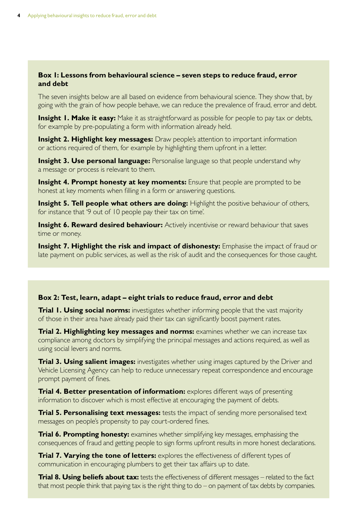#### **Box 1: Lessons from behavioural science – seven steps to reduce fraud, error and debt**

The seven insights below are all based on evidence from behavioural science. They show that, by going with the grain of how people behave, we can reduce the prevalence of fraud, error and debt.

**Insight 1. Make it easy:** Make it as straightforward as possible for people to pay tax or debts, for example by pre-populating a form with information already held.

**Insight 2. Highlight key messages:** Draw people's attention to important information or actions required of them, for example by highlighting them upfront in a letter.

**Insight 3. Use personal language:** Personalise language so that people understand why a message or process is relevant to them.

**Insight 4. Prompt honesty at key moments:** Ensure that people are prompted to be honest at key moments when filling in a form or answering questions.

**Insight 5. Tell people what others are doing:** Highlight the positive behaviour of others, for instance that '9 out of 10 people pay their tax on time'.

**Insight 6. Reward desired behaviour:** Actively incentivise or reward behaviour that saves time or money.

**Insight 7. Highlight the risk and impact of dishonesty:** Emphasise the impact of fraud or late payment on public services, as well as the risk of audit and the consequences for those caught.

#### **Box 2: Test, learn, adapt – eight trials to reduce fraud, error and debt**

**Trial 1. Using social norms:** investigates whether informing people that the vast majority of those in their area have already paid their tax can significantly boost payment rates.

**Trial 2. Highlighting key messages and norms:** examines whether we can increase tax compliance among doctors by simplifying the principal messages and actions required, as well as using social levers and norms.

**Trial 3. Using salient images:** investigates whether using images captured by the Driver and Vehicle Licensing Agency can help to reduce unnecessary repeat correspondence and encourage prompt payment of fines.

**Trial 4. Better presentation of information:** explores different ways of presenting information to discover which is most effective at encouraging the payment of debts.

**Trial 5. Personalising text messages:** tests the impact of sending more personalised text messages on people's propensity to pay court-ordered fines.

**Trial 6. Prompting honesty:** examines whether simplifying key messages, emphasising the consequences of fraud and getting people to sign forms upfront results in more honest declarations.

**Trial 7. Varying the tone of letters:** explores the effectiveness of different types of communication in encouraging plumbers to get their tax affairs up to date.

**Trial 8. Using beliefs about tax:** tests the effectiveness of different messages – related to the fact that most people think that paying tax is the right thing to  $do - on$  payment of tax debts by companies.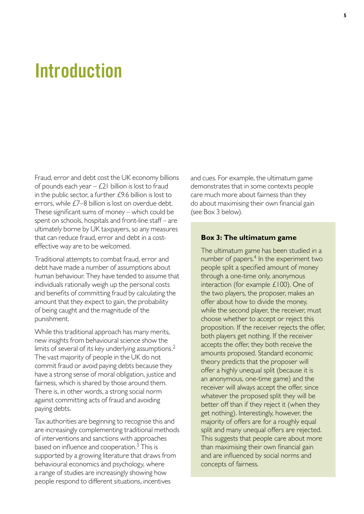## **Introduction**

Fraud, error and debt cost the UK economy billions of pounds each year  $-$  £21 billion is lost to fraud in the public sector, a further  $£9.6$  billion is lost to errors, while  $E7-8$  billion is lost on overdue debt. These significant sums of money – which could be spent on schools, hospitals and front-line staff – are ultimately borne by UK taxpayers, so any measures that can reduce fraud, error and debt in a costeffective way are to be welcomed.

Traditional attempts to combat fraud, error and debt have made a number of assumptions about human behaviour. They have tended to assume that individuals rationally weigh up the personal costs and benefits of committing fraud by calculating the amount that they expect to gain, the probability of being caught and the magnitude of the punishment.

While this traditional approach has many merits, new insights from behavioural science show the limits of several of its key underlying assumptions. $^2$ The vast majority of people in the UK do not commit fraud or avoid paying debts because they have a strong sense of moral obligation, justice and fairness, which is shared by those around them. There is, in other words, a strong social norm against committing acts of fraud and avoiding paying debts.

Tax authorities are beginning to recognise this and are increasingly complementing traditional methods of interventions and sanctions with approaches based on influence and cooperation.<sup>3</sup> This is supported by a growing literature that draws from behavioural economics and psychology, where a range of studies are increasingly showing how people respond to different situations, incentives

and cues. For example, the ultimatum game demonstrates that in some contexts people care much more about fairness than they do about maximising their own financial gain (see Box 3 below).

#### **Box 3: The ultimatum game**

The ultimatum game has been studied in a number of papers. $4$  In the experiment two people split a specified amount of money through a one-time only, anonymous interaction (for example  $£100$ ). One of the two players, the proposer, makes an offer about how to divide the money, while the second player, the receiver, must choose whether to accept or reject this proposition. If the receiver rejects the offer, both players get nothing. If the receiver accepts the offer, they both receive the amounts proposed. Standard economic theory predicts that the proposer will offer a highly unequal split (because it is an anonymous, one-time game) and the receiver will always accept the offer, since whatever the proposed split they will be better off than if they reject it (when they get nothing). Interestingly, however, the majority of offers are for a roughly equal split and many unequal offers are rejected. This suggests that people care about more than maximising their own financial gain and are influenced by social norms and concepts of fairness.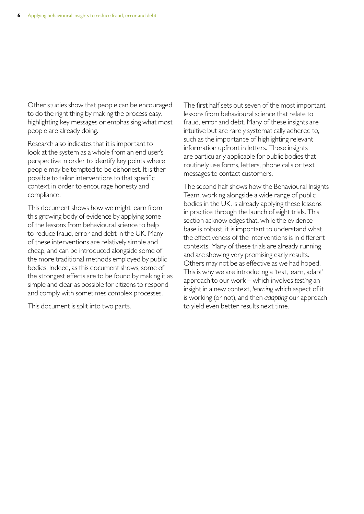Other studies show that people can be encouraged to do the right thing by making the process easy, highlighting key messages or emphasising what most people are already doing.

Research also indicates that it is important to look at the system as a whole from an end user's perspective in order to identify key points where people may be tempted to be dishonest. It is then possible to tailor interventions to that specific context in order to encourage honesty and compliance.

This document shows how we might learn from this growing body of evidence by applying some of the lessons from behavioural science to help to reduce fraud, error and debt in the UK. Many of these interventions are relatively simple and cheap, and can be introduced alongside some of the more traditional methods employed by public bodies. Indeed, as this document shows, some of the strongest effects are to be found by making it as simple and clear as possible for citizens to respond and comply with sometimes complex processes.

This document is split into two parts.

The first half sets out seven of the most important lessons from behavioural science that relate to fraud, error and debt. Many of these insights are intuitive but are rarely systematically adhered to, such as the importance of highlighting relevant information upfront in letters. These insights are particularly applicable for public bodies that routinely use forms, letters, phone calls or text messages to contact customers.

The second half shows how the Behavioural Insights Team, working alongside a wide range of public bodies in the UK, is already applying these lessons in practice through the launch of eight trials. This section acknowledges that, while the evidence base is robust, it is important to understand what the effectiveness of the interventions is in different contexts. Many of these trials are already running and are showing very promising early results. Others may not be as effective as we had hoped. This is why we are introducing a 'test, learn, adapt' approach to our work – which involves *testing* an insight in a new context, *learning* which aspect of it is working (or not), and then *adapting* our approach to yield even better results next time.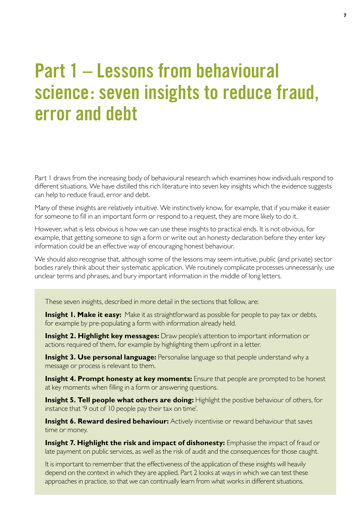## **Part 1 – Lessons from behavioural science: seven insights to reduce fraud, error and debt**

Part 1 draws from the increasing body of behavioural research which examines how individuals respond to different situations. We have distilled this rich literature into seven key insights which the evidence suggests can help to reduce fraud, error and debt.

Many of these insights are relatively intuitive. We instinctively know, for example, that if you make it easier for someone to fill in an important form or respond to a request, they are more likely to do it.

However, what is less obvious is how we can use these insights to practical ends. It is not obvious, for example, that getting someone to sign a form or write out an honesty declaration before they enter key information could be an effective way of encouraging honest behaviour.

We should also recognise that, although some of the lessons may seem intuitive, public (and private) sector bodies rarely think about their systematic application. We routinely complicate processes unnecessarily, use unclear terms and phrases, and bury important information in the middle of long letters.

These seven insights, described in more detail in the sections that follow, are:

**Insight I. Make it easy:** Make it as straightforward as possible for people to pay tax or debts, for example by pre-populating a form with information already held.

**Insight 2. Highlight key messages:** Draw people's attention to important information or actions required of them, for example by highlighting them upfront in a letter.

**Insight 3. Use personal language:** Personalise language so that people understand why a message or process is relevant to them.

**Insight 4. Prompt honesty at key moments:** Ensure that people are prompted to be honest at key moments when filling in a form or answering questions.

**Insight 5. Tell people what others are doing:** Highlight the positive behaviour of others, for instance that '9 out of 10 people pay their tax on time'.

**Insight 6. Reward desired behaviour:** Actively incentivise or reward behaviour that saves time or money.

**Insight 7. Highlight the risk and impact of dishonesty:** Emphasise the impact of fraud or late payment on public services, as well as the risk of audit and the consequences for those caught.

It is important to remember that the effectiveness of the application of these insights will heavily depend on the context in which they are applied. Part 2 looks at ways in which we can test these approaches in practice, so that we can continually learn from what works in different situations.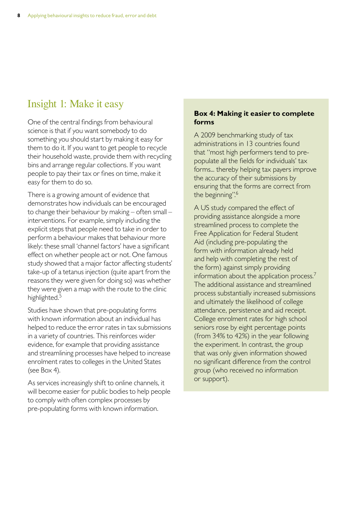## Insight 1: Make it easy

One of the central findings from behavioural science is that if you want somebody to do something you should start by making it easy for them to do it. If you want to get people to recycle their household waste, provide them with recycling bins and arrange regular collections. If you want people to pay their tax or fines on time, make it easy for them to do so.

There is a growing amount of evidence that demonstrates how individuals can be encouraged to change their behaviour by making – often small – interventions. For example, simply including the explicit steps that people need to take in order to perform a behaviour makes that behaviour more likely: these small 'channel factors' have a significant effect on whether people act or not. One famous study showed that a major factor affecting students' take-up of a tetanus injection (quite apart from the reasons they were given for doing so) was whether they were given a map with the route to the clinic highlighted.<sup>5</sup>

Studies have shown that pre-populating forms with known information about an individual has helped to reduce the error rates in tax submissions in a variety of countries. This reinforces wider evidence, for example that providing assistance and streamlining processes have helped to increase enrolment rates to colleges in the United States (see Bo $\times$ 4).

As services increasingly shift to online channels, it will become easier for public bodies to help people to comply with often complex processes by pre-populating forms with known information.

#### **Box 4: Making it easier to complete forms**

A 2009 benchmarking study of tax administrations in 13 countries found that "most high performers tend to prepopulate all the fields for individuals' tax forms... thereby helping tax payers improve the accuracy of their submissions by ensuring that the forms are correct from the beginning".<sup>6</sup>

A US study compared the effect of providing assistance alongside a more streamlined process to complete the Free Application for Federal Student Aid (including pre-populating the form with information already held and help with completing the rest of the form) against simply providing information about the application process. $<sup>7</sup>$ </sup> The additional assistance and streamlined process substantially increased submissions and ultimately the likelihood of college attendance, persistence and aid receipt. College enrolment rates for high school seniors rose by eight percentage points (from 34% to 42%) in the year following the experiment. In contrast, the group that was only given information showed no significant difference from the control group (who received no information or support).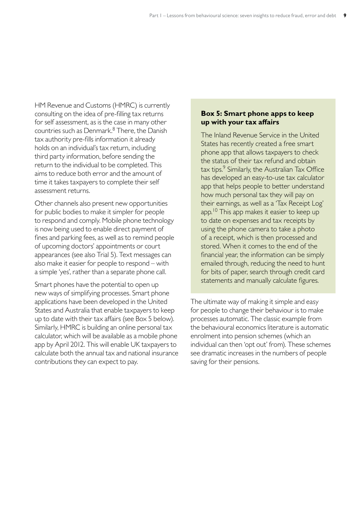HM Revenue and Customs (HMRC) is currently consulting on the idea of pre-filling tax returns for self assessment, as is the case in many other countries such as Denmark.<sup>8</sup> There, the Danish tax authority pre-fills information it already holds on an individual's tax return, including third party information, before sending the return to the individual to be completed. This aims to reduce both error and the amount of time it takes taxpayers to complete their self assessment returns.

Other channels also present new opportunities for public bodies to make it simpler for people to respond and comply. Mobile phone technology is now being used to enable direct payment of fines and parking fees, as well as to remind people of upcoming doctors' appointments or court appearances (see also Trial 5). Text messages can also make it easier for people to respond – with a simple 'yes', rather than a separate phone call.

Smart phones have the potential to open up new ways of simplifying processes. Smart phone applications have been developed in the United States and Australia that enable taxpayers to keep up to date with their tax affairs (see Box 5 below). Similarly, HMRC is building an online personal tax calculator, which will be available as a mobile phone app by April 2012. This will enable UK taxpayers to calculate both the annual tax and national insurance contributions they can expect to pay.

#### **Box 5: Smart phone apps to keep up with your tax affairs**

The Inland Revenue Service in the United States has recently created a free smart phone app that allows taxpayers to check the status of their tax refund and obtain  $tax tips.<sup>9</sup>$  Similarly, the Australian Tax Office has developed an easy-to-use tax calculator app that helps people to better understand how much personal tax they will pay on their earnings, as well as a 'Tax Receipt Log' app.<sup>10</sup> This app makes it easier to keep up to date on expenses and tax receipts by using the phone camera to take a photo of a receipt, which is then processed and stored. When it comes to the end of the financial year, the information can be simply emailed through, reducing the need to hunt for bits of paper, search through credit card statements and manually calculate figures.

The ultimate way of making it simple and easy for people to change their behaviour is to make processes automatic. The classic example from the behavioural economics literature is automatic enrolment into pension schemes (which an individual can then 'opt out' from). These schemes see dramatic increases in the numbers of people saving for their pensions.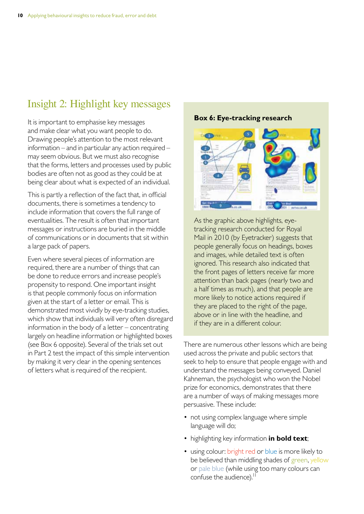## Insight 2: Highlight key messages

It is important to emphasise key messages and make clear what you want people to do. Drawing people's attention to the most relevant information – and in particular any action required – may seem obvious. But we must also recognise that the forms, letters and processes used by public bodies are often not as good as they could be at being clear about what is expected of an individual.

This is partly a reflection of the fact that, in official documents, there is sometimes a tendency to include information that covers the full range of eventualities. The result is often that important messages or instructions are buried in the middle of communications or in documents that sit within a large pack of papers.

Even where several pieces of information are required, there are a number of things that can be done to reduce errors and increase people's propensity to respond. One important insight is that people commonly focus on information given at the start of a letter or email. This is demonstrated most vividly by eye-tracking studies, which show that individuals will very often disregard information in the body of a letter – concentrating largely on headline information or highlighted boxes (see Box 6 opposite). Several of the trials set out in Part 2 test the impact of this simple intervention by making it very clear in the opening sentences of letters what is required of the recipient.

**Box 6: Eye-tracking research** 



As the graphic above highlights, eyetracking research conducted for Royal Mail in 2010 (by Eyetracker) suggests that people generally focus on headings, boxes and images, while detailed text is often ignored. This research also indicated that the front pages of letters receive far more attention than back pages (nearly two and a half times as much), and that people are more likely to notice actions required if they are placed to the right of the page, above or in line with the headline, and if they are in a different colour.

There are numerous other lessons which are being used across the private and public sectors that seek to help to ensure that people engage with and understand the messages being conveyed. Daniel Kahneman, the psychologist who won the Nobel prize for economics, demonstrates that there are a number of ways of making messages more persuasive. These include:

- not using complex language where simple language will do;
- highlighting key information **in bold text**;
- using colour: bright red or blue is more likely to be believed than middling shades of green, yellow or pale blue (while using too many colours can confuse the audience).<sup>11</sup>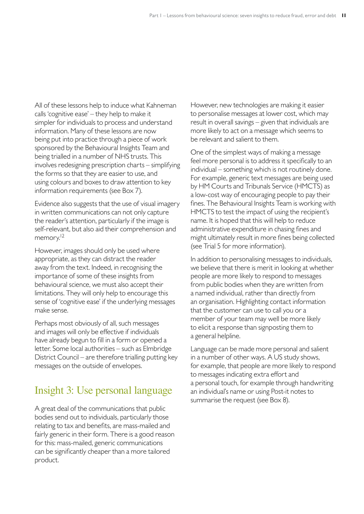All of these lessons help to induce what Kahneman calls 'cognitive ease' – they help to make it simpler for individuals to process and understand information. Many of these lessons are now being put into practice through a piece of work sponsored by the Behavioural Insights Team and being trialled in a number of NHS trusts. This involves redesigning prescription charts – simplifying the forms so that they are easier to use, and using colours and boxes to draw attention to key information requirements (see Box 7).

Evidence also suggests that the use of visual imagery in written communications can not only capture the reader's attention, particularly if the image is self-relevant, but also aid their comprehension and memory.<sup>12</sup>

However, images should only be used where appropriate, as they can distract the reader away from the text. Indeed, in recognising the importance of some of these insights from behavioural science, we must also accept their limitations. They will only help to encourage this sense of 'cognitive ease' if the underlying messages make sense.

Perhaps most obviously of all, such messages and images will only be effective if individuals have already begun to fill in a form or opened a letter. Some local authorities – such as Elmbridge District Council – are therefore trialling putting key messages on the outside of envelopes.

### Insight 3: Use personal language

A great deal of the communications that public bodies send out to individuals, particularly those relating to tax and benefits, are mass-mailed and fairly generic in their form. There is a good reason for this: mass-mailed, generic communications can be significantly cheaper than a more tailored product.

However, new technologies are making it easier to personalise messages at lower cost, which may result in overall savings – given that individuals are more likely to act on a message which seems to be relevant and salient to them.

One of the simplest ways of making a message feel more personal is to address it specifically to an individual – something which is not routinely done. For example, generic text messages are being used by HM Courts and Tribunals Service (HMCTS) as a low-cost way of encouraging people to pay their fines. The Behavioural Insights Team is working with HMCTS to test the impact of using the recipient's name. It is hoped that this will help to reduce administrative expenditure in chasing fines and might ultimately result in more fines being collected (see Trial 5 for more information).

In addition to personalising messages to individuals, we believe that there is merit in looking at whether people are more likely to respond to messages from public bodies when they are written from a named individual, rather than directly from an organisation. Highlighting contact information that the customer can use to call you or a member of your team may well be more likely to elicit a response than signposting them to a general helpline.

Language can be made more personal and salient in a number of other ways. A US study shows, for example, that people are more likely to respond to messages indicating extra effort and a personal touch, for example through handwriting an individual's name or using Post-it notes to summarise the request (see Box 8).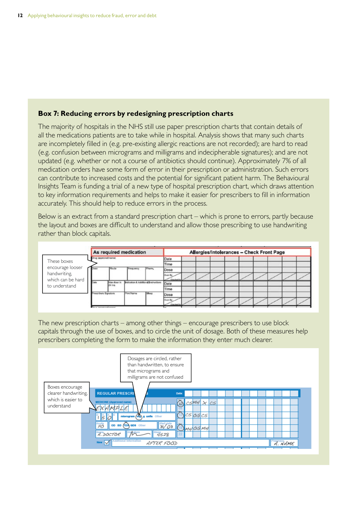#### **Box 7: Reducing errors by redesigning prescription charts**

The majority of hospitals in the NHS still use paper prescription charts that contain details of all the medications patients are to take while in hospital. Analysis shows that many such charts are incompletely filled in (e.g. pre-existing allergic reactions are not recorded); are hard to read (e.g. confusion between micrograms and milligrams and indecipherable signatures); and are not updated (e.g. whether or not a course of antibiotics should continue). Approximately 7% of all medication orders have some form of error in their prescription or administration. Such errors can contribute to increased costs and the potential for significant patient harm. The Behavioural Insights Team is funding a trial of a new type of hospital prescription chart, which draws attention to key information requirements and helps to make it easier for prescribers to fill in information accurately. This should help to reduce errors in the process.

Below is an extract from a standard prescription chart – which is prone to errors, partly because the layout and boxes are difficult to understand and allow those prescribing to use handwriting rather than block capitals.



The new prescription charts – among other things – encourage prescribers to use block capitals through the use of boxes, and to circle the unit of dosage. Both of these measures help prescribers completing the form to make the information they enter much clearer.

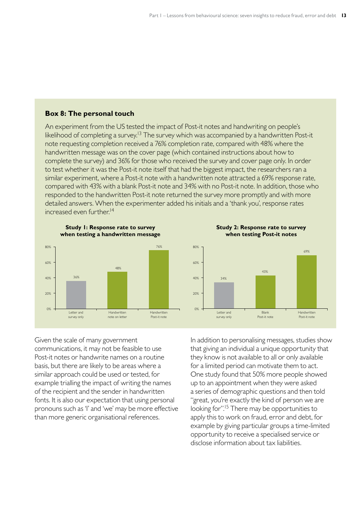#### **Box 8: The personal touch**

An experiment from the US tested the impact of Post-it notes and handwriting on people's likelihood of completing a survey.<sup>13</sup> The survey which was accompanied by a handwritten Post-it note requesting completion received a 76% completion rate, compared with 48% where the handwritten message was on the cover page (which contained instructions about how to complete the survey) and 36% for those who received the survey and cover page only. In order to test whether it was the Post-it note itself that had the biggest impact, the researchers ran a similar experiment, where a Post-it note with a handwritten note attracted a 69% response rate, compared with 43% with a blank Post-it note and 34% with no Post-it note. In addition, those who responded to the handwritten Post-it note returned the survey more promptly and with more detailed answers. When the experimenter added his initials and a 'thank you', response rates increased even further.<sup>14</sup>



**Study 2: Response rate to survey when testing Post-it notes** 



Given the scale of many government communications, it may not be feasible to use Post-it notes or handwrite names on a routine basis, but there are likely to be areas where a similar approach could be used or tested, for example trialling the impact of writing the names of the recipient and the sender in handwritten fonts. It is also our expectation that using personal pronouns such as 'I' and 'we' may be more effective than more generic organisational references.

In addition to personalising messages, studies show that giving an individual a unique opportunity that they know is not available to all or only available for a limited period can motivate them to act. One study found that 50% more people showed up to an appointment when they were asked a series of demographic questions and then told "great, you're exactly the kind of person we are looking for".<sup>15</sup> There may be opportunities to apply this to work on fraud, error and debt, for example by giving particular groups a time-limited opportunity to receive a specialised service or disclose information about tax liabilities.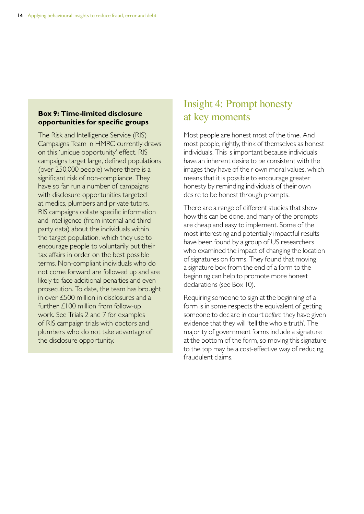#### **Box 9: Time-limited disclosure opportunities for specific groups**

The Risk and Intelligence Service (RIS) Campaigns Team in HMRC currently draws on this 'unique opportunity' effect. RIS campaigns target large, defined populations (over 250,000 people) where there is a significant risk of non-compliance. They have so far run a number of campaigns with disclosure opportunities targeted at medics, plumbers and private tutors. RIS campaigns collate specific information and intelligence (from internal and third party data) about the individuals within the target population, which they use to encourage people to voluntarily put their tax affairs in order on the best possible terms. Non-compliant individuals who do not come forward are followed up and are likely to face additional penalties and even prosecution. To date, the team has brought in over £500 million in disclosures and a further £100 million from follow-up work. See Trials 2 and 7 for examples of RIS campaign trials with doctors and plumbers who do not take advantage of the disclosure opportunity.

## Insight 4: Prompt honesty at key moments

Most people are honest most of the time. And most people, rightly, think of themselves as honest individuals. This is important because individuals have an inherent desire to be consistent with the images they have of their own moral values, which means that it is possible to encourage greater honesty by reminding individuals of their own desire to be honest through prompts.

There are a range of different studies that show how this can be done, and many of the prompts are cheap and easy to implement. Some of the most interesting and potentially impactful results have been found by a group of US researchers who examined the impact of changing the location of signatures on forms. They found that moving a signature box from the end of a form to the beginning can help to promote more honest declarations (see Box 10).

Requiring someone to sign at the beginning of a form is in some respects the equivalent of getting someone to declare in court *before* they have given evidence that they will 'tell the whole truth'. The majority of government forms include a signature at the bottom of the form, so moving this signature to the top may be a cost-effective way of reducing fraudulent claims.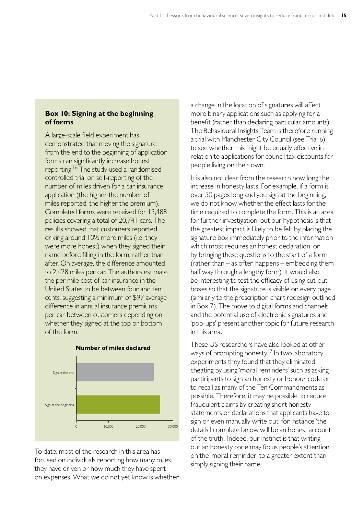#### **Box 10: Signing at the beginning of forms**

A large-scale field experiment has demonstrated that moving the signature from the end to the beginning of application forms can significantly increase honest reporting.<sup>16</sup> The study used a randomised controlled trial on self-reporting of the number of miles driven for a car insurance application (the higher the number of miles reported, the higher the premium). Completed forms were received for 13,488 policies covering a total of 20,741 cars. The results showed that customers reported driving around 10% more miles (i.e. they were more honest) when they signed their name before filling in the form, rather than after. On average, the difference amounted to 2,428 miles per car. The authors estimate the per-mile cost of car insurance in the United States to be between four and ten cents, suggesting a minimum of \$97 average difference in annual insurance premiums per car between customers depending on whether they signed at the top or bottom of the form.





To date, most of the research in this area has focused on individuals reporting how many miles they have driven or how much they have spent on expenses. What we do not yet know is whether a change in the location of signatures will affect more binary applications such as applying for a benefit (rather than declaring particular amounts). The Behavioural Insights Team is therefore running a trial with Manchester City Council (see Trial 6) to see whether this might be equally effective in relation to applications for council tax discounts for people living on their own.

It is also not clear from the research how long the increase in honesty lasts. For example, if a form is over 50 pages long and you sign at the beginning, we do not know whether the effect lasts for the time required to complete the form. This is an area for further investigation, but our hypothesis is that the greatest impact is likely to be felt by placing the signature box immediately prior to the information which most requires an honest declaration, or by bringing these questions to the start of a form (rather than – as often happens – embedding them half way through a lengthy form). It would also be interesting to test the efficacy of using cut-out boxes so that the signature is visible on every page (similarly to the prescription chart redesign outlined in Bo $\times$  7). The move to digital forms and channels and the potential use of electronic signatures and 'pop-ups' present another topic for future research in this area.

These US researchers have also looked at other ways of prompting honesty.<sup>17</sup> In two laboratory experiments they found that they eliminated cheating by using 'moral reminders' such as asking participants to sign an honesty or honour code or to recall as many of the Ten Commandments as possible. Therefore, it may be possible to reduce fraudulent claims by creating short honesty statements or declarations that applicants have to sign or even manually write out, for instance 'the details I complete below will be an honest account of the truth'. Indeed, our instinct is that writing out an honesty code may focus people's attention on the 'moral reminder' to a greater extent than simply signing their name.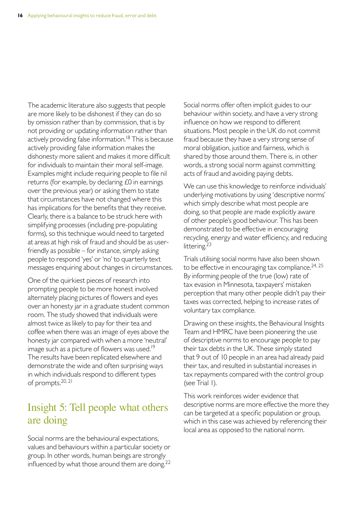The academic literature also suggests that people are more likely to be dishonest if they can do so by omission rather than by commission, that is by not providing or updating information rather than actively providing false information.<sup>18</sup> This is because actively providing false information makes the dishonesty more salient and makes it more difficult for individuals to maintain their moral self-image. Examples might include requiring people to file nil returns (for example, by declaring £0 in earnings over the previous year) or asking them to state that circumstances have not changed where this has implications for the benefits that they receive. Clearly, there is a balance to be struck here with simplifying processes (including pre-populating forms), so this technique would need to targeted at areas at high risk of fraud and should be as userfriendly as possible – for instance, simply asking people to respond 'yes' or 'no' to quarterly text messages enquiring about changes in circumstances.

One of the quirkiest pieces of research into prompting people to be more honest involved alternately placing pictures of flowers and eyes over an honesty jar in a graduate student common room. The study showed that individuals were almost twice as likely to pay for their tea and coffee when there was an image of eyes above the honesty jar compared with when a more 'neutral' image such as a picture of flowers was used.<sup>19</sup> The results have been replicated elsewhere and demonstrate the wide and often surprising ways in which individuals respond to different types of prompts.<sup>20, 21</sup>

### Insight 5: Tell people what others are doing

Social norms are the behavioural expectations, values and behaviours within a particular society or group. In other words, human beings are strongly influenced by what those around them are doing.<sup>22</sup>

Social norms offer often implicit guides to our behaviour within society, and have a very strong influence on how we respond to different situations. Most people in the UK do not commit fraud because they have a very strong sense of moral obligation, justice and fairness, which is shared by those around them. There is, in other words, a strong social norm against committing acts of fraud and avoiding paying debts.

We can use this knowledge to reinforce individuals' underlying motivations by using 'descriptive norms' which simply describe what most people are doing, so that people are made explicitly aware of other people's good behaviour. This has been demonstrated to be effective in encouraging recycling, energy and water efficiency, and reducing littering.<sup>23</sup>

Trials utilising social norms have also been shown to be effective in encouraging tax compliance.<sup>24, 25</sup> By informing people of the true (low) rate of tax evasion in Minnesota, taxpayers' mistaken perception that many other people didn't pay their taxes was corrected, helping to increase rates of voluntary tax compliance.

Drawing on these insights, the Behavioural Insights Team and HMRC have been pioneering the use of descriptive norms to encourage people to pay their tax debts in the UK. These simply stated that 9 out of 10 people in an area had already paid their tax, and resulted in substantial increases in tax repayments compared with the control group  $(see Trial I).$ 

This work reinforces wider evidence that descriptive norms are more effective the more they can be targeted at a specific population or group, which in this case was achieved by referencing their local area as opposed to the national norm.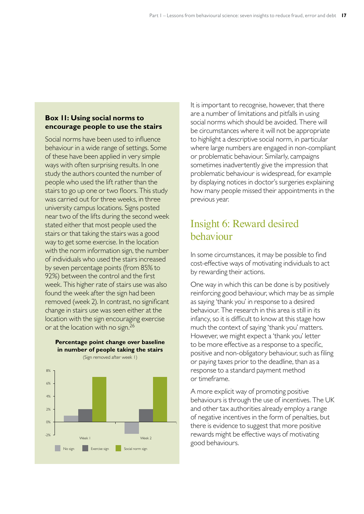#### **Box 11: Using social norms to encourage people to use the stairs**

Social norms have been used to influence behaviour in a wide range of settings. Some of these have been applied in very simple ways with often surprising results. In one study the authors counted the number of people who used the lift rather than the stairs to go up one or two floors. This study was carried out for three weeks, in three university campus locations. Signs posted near two of the lifts during the second week stated either that most people used the stairs or that taking the stairs was a good way to get some exercise. In the location with the norm information sign, the number of individuals who used the stairs increased by seven percentage points (from 85% to 92%) between the control and the first week. This higher rate of stairs use was also found the week after the sign had been removed (week 2). In contrast, no significant change in stairs use was seen either at the location with the sign encouraging exercise or at the location with no sign.<sup>26</sup>



**Percentage point change over baseline in number of people taking the stairs**

#### It is important to recognise, however, that there are a number of limitations and pitfalls in using social norms which should be avoided. There will be circumstances where it will not be appropriate to highlight a descriptive social norm, in particular where large numbers are engaged in non-compliant or problematic behaviour. Similarly, campaigns sometimes inadvertently give the impression that problematic behaviour is widespread, for example by displaying notices in doctor's surgeries explaining how many people missed their appointments in the previous year.

## Insight 6: Reward desired behaviour

In some circumstances, it may be possible to find cost-effective ways of motivating individuals to act by rewarding their actions.

One way in which this can be done is by positively reinforcing good behaviour, which may be as simple as saying 'thank you' in response to a desired behaviour. The research in this area is still in its infancy, so it is difficult to know at this stage how much the context of saying 'thank you' matters. However, we might expect a 'thank you' letter to be more effective as a response to a specific, positive and non-obligatory behaviour, such as filing or paying taxes prior to the deadline, than as a response to a standard payment method or timeframe�

A more explicit way of promoting positive behaviours is through the use of incentives. The UK and other tax authorities already employ a range of negative incentives in the form of penalties, but there is evidence to suggest that more positive rewards might be effective ways of motivating good behaviours�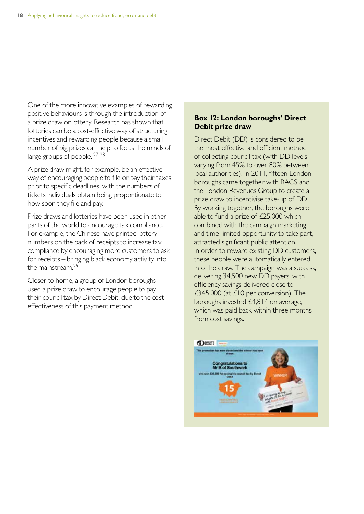One of the more innovative examples of rewarding positive behaviours is through the introduction of a prize draw or lottery. Research has shown that lotteries can be a cost-effective way of structuring incentives and rewarding people because a small number of big prizes can help to focus the minds of large groups of people.  $27, 28$ 

A prize draw might, for example, be an effective way of encouraging people to file or pay their taxes prior to specific deadlines, with the numbers of tickets individuals obtain being proportionate to how soon they file and pay.

Prize draws and lotteries have been used in other parts of the world to encourage tax compliance. For example, the Chinese have printed lottery numbers on the back of receipts to increase tax compliance by encouraging more customers to ask for receipts – bringing black economy activity into the mainstream.<sup>29</sup>

Closer to home, a group of London boroughs used a prize draw to encourage people to pay their council tax by Direct Debit, due to the costeffectiveness of this payment method.

#### **Box 12: London boroughs' Direct Debit prize draw**

Direct Debit (DD) is considered to be the most effective and efficient method of collecting council tax (with DD levels varying from 45% to over 80% between local authorities). In 2011, fifteen London boroughs came together with BACS and the London Revenues Group to create a prize draw to incentivise take-up of DD. By working together, the boroughs were able to fund a prize of £25,000 which, combined with the campaign marketing and time-limited opportunity to take part, attracted significant public attention. In order to reward existing DD customers, these people were automatically entered into the draw. The campaign was a success, delivering 34,500 new DD payers, with efficiency savings delivered close to £345,000 (at  $£10$  per conversion). The boroughs invested £4,814 on average, which was paid back within three months from cost savings.

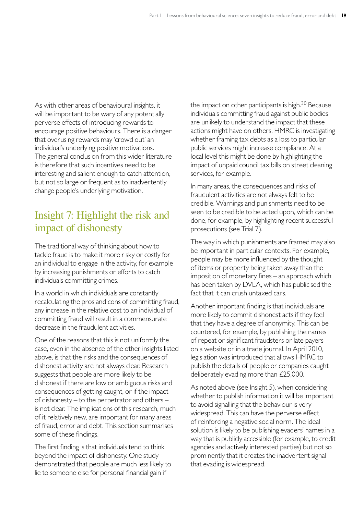As with other areas of behavioural insights, it will be important to be wary of any potentially perverse effects of introducing rewards to encourage positive behaviours. There is a danger that overusing rewards may 'crowd out' an individual's underlying positive motivations. The general conclusion from this wider literature is therefore that such incentives need to be interesting and salient enough to catch attention, but not so large or frequent as to inadvertently change people's underlying motivation.

## Insight 7: Highlight the risk and impact of dishonesty

The traditional way of thinking about how to tackle fraud is to make it more risky or costly for an individual to engage in the activity, for example by increasing punishments or efforts to catch individuals committing crimes.

In a world in which individuals are constantly recalculating the pros and cons of committing fraud, any increase in the relative cost to an individual of committing fraud will result in a commensurate decrease in the fraudulent activities.

One of the reasons that this is not uniformly the case, even in the absence of the other insights listed above, is that the risks and the consequences of dishonest activity are not always clear. Research suggests that people are more likely to be dishonest if there are low or ambiguous risks and consequences of getting caught, or if the impact of dishonesty – to the perpetrator and others – is not clear. The implications of this research, much of it relatively new, are important for many areas of fraud, error and debt. This section summarises some of these findings.

The first finding is that individuals tend to think beyond the impact of dishonesty. One study demonstrated that people are much less likely to lie to someone else for personal financial gain if

the impact on other participants is high. $30$  Because individuals committing fraud against public bodies are unlikely to understand the impact that these actions might have on others, HMRC is investigating whether framing tax debts as a loss to particular public services might increase compliance. At a local level this might be done by highlighting the impact of unpaid council tax bills on street cleaning services, for example.

In many areas, the consequences and risks of fraudulent activities are not always felt to be credible. Warnings and punishments need to be seen to be credible to be acted upon, which can be done, for example, by highlighting recent successful prosecutions (see Trial 7).

The way in which punishments are framed may also be important in particular contexts. For example, people may be more influenced by the thought of items or property being taken away than the imposition of monetary fines – an approach which has been taken by DVLA, which has publicised the fact that it can crush untaxed cars.

Another important finding is that individuals are more likely to commit dishonest acts if they feel that they have a degree of anonymity. This can be countered, for example, by publishing the names of repeat or significant fraudsters or late payers on a website or in a trade journal. In April 2010, legislation was introduced that allows HMRC to publish the details of people or companies caught deliberately evading more than £25,000.

As noted above (see Insight 5), when considering whether to publish information it will be important to avoid signalling that the behaviour is very widespread. This can have the perverse effect of reinforcing a negative social norm. The ideal solution is likely to be publishing evaders' names in a way that is publicly accessible (for example, to credit agencies and actively interested parties) but not so prominently that it creates the inadvertent signal that evading is widespread.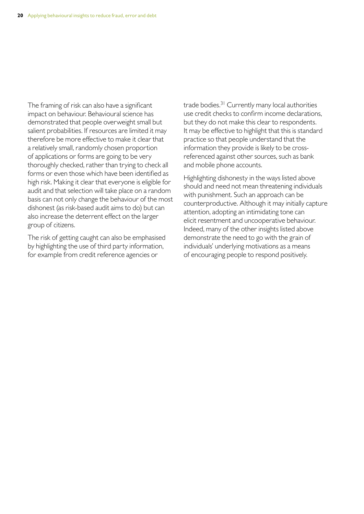The framing of risk can also have a significant impact on behaviour. Behavioural science has demonstrated that people overweight small but salient probabilities. If resources are limited it may therefore be more effective to make it clear that a relatively small, randomly chosen proportion of applications or forms are going to be very thoroughly checked, rather than trying to check all forms or even those which have been identified as high risk. Making it clear that everyone is eligible for audit and that selection will take place on a random basis can not only change the behaviour of the most dishonest (as risk-based audit aims to do) but can also increase the deterrent effect on the larger group of citizens�

The risk of getting caught can also be emphasised by highlighting the use of third party information, for example from credit reference agencies or

trade bodies.<sup>31</sup> Currently many local authorities use credit checks to confirm income declarations, but they do not make this clear to respondents. It may be effective to highlight that this is standard practice so that people understand that the information they provide is likely to be crossreferenced against other sources, such as bank and mobile phone accounts.

Highlighting dishonesty in the ways listed above should and need not mean threatening individuals with punishment. Such an approach can be counterproductive. Although it may initially capture attention, adopting an intimidating tone can elicit resentment and uncooperative behaviour. Indeed, many of the other insights listed above demonstrate the need to go with the grain of individuals' underlying motivations as a means of encouraging people to respond positively.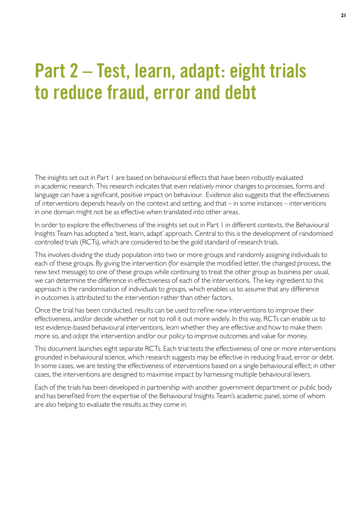## **Part 2 – Test, learn, adapt: eight trials to reduce fraud, error and debt**

The insights set out in Part 1 are based on behavioural effects that have been robustly evaluated in academic research. This research indicates that even relatively minor changes to processes, forms and language can have a significant, positive impact on behaviour. Evidence also suggests that the effectiveness of interventions depends heavily on the context and setting, and that – in some instances – interventions in one domain might not be as effective when translated into other areas.

In order to explore the effectiveness of the insights set out in Part 1 in different contexts, the Behavioural Insights Team has adopted a 'test, learn, adapt' approach. Central to this is the development of randomised controlled trials (RCTs), which are considered to be the gold standard of research trials.

This involves dividing the study population into two or more groups and randomly assigning individuals to each of these groups. By giving the intervention (for example the modified letter, the changed process, the new text message) to one of these groups while continuing to treat the other group as business per usual, we can determine the difference in effectiveness of each of the interventions. The key ingredient to this approach is the randomisation of individuals to groups, which enables us to assume that any difference in outcomes is attributed to the intervention rather than other factors.

Once the trial has been conducted, results can be used to refine new interventions to improve their effectiveness, and/or decide whether or not to roll it out more widely. In this way, RCTs can enable us to *test* evidence-based behavioural interventions, *learn* whether they are effective and how to make them more so, and *adapt* the intervention and/or our policy to improve outcomes and value for money.

This document launches eight separate RCTs. Each trial tests the effectiveness of one or more interventions grounded in behavioural science, which research suggests may be effective in reducing fraud, error or debt. In some cases, we are testing the effectiveness of interventions based on a single behavioural effect; in other cases, the interventions are designed to maximise impact by harnessing multiple behavioural levers.

Each of the trials has been developed in partnership with another government department or public body and has benefited from the expertise of the Behavioural Insights Team's academic panel, some of whom are also helping to evaluate the results as they come in.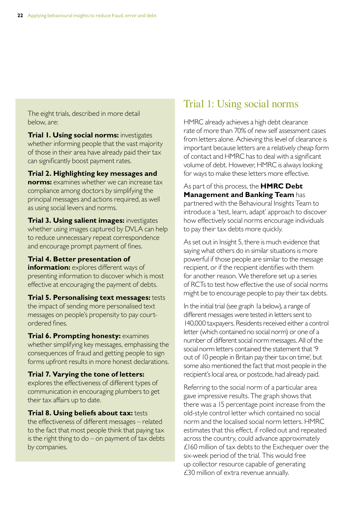The eight trials, described in more detail below, are:

**Trial 1. Using social norms:** investigates whether informing people that the vast majority of those in their area have already paid their tax can significantly boost payment rates.

**Trial 2. Highlighting key messages and norms:** examines whether we can increase tax compliance among doctors by simplifying the principal messages and actions required, as well as using social levers and norms.

**Trial 3. Using salient images:** investigates whether using images captured by DVLA can help to reduce unnecessary repeat correspondence and encourage prompt payment of fines.

#### **Trial 4. Better presentation of**

**information:** explores different ways of presenting information to discover which is most effective at encouraging the payment of debts.

**Trial 5. Personalising text messages:** tests the impact of sending more personalised text messages on people's propensity to pay courtordered fines.

**Trial 6. Prompting honesty: examines** whether simplifying key messages, emphasising the consequences of fraud and getting people to sign forms upfront results in more honest declarations.

**Trial 7. Varying the tone of letters:**  explores the effectiveness of different types of communication in encouraging plumbers to get their tax affairs up to date.

**Trial 8. Using beliefs about tax: tests** the effectiveness of different messages – related to the fact that most people think that paying tax is the right thing to do  $-$  on payment of tax debts by companies.

## Trial 1: Using social norms

HMRC already achieves a high debt clearance rate of more than 70% of new self assessment cases from letters alone. Achieving this level of clearance is important because letters are a relatively cheap form of contact and HMRC has to deal with a significant volume of debt. However, HMRC is always looking for ways to make these letters more effective.

As part of this process, the **HMRC Debt Management and Banking Team** has partnered with the Behavioural Insights Team to introduce a 'test, learn, adapt' approach to discover how effectively social norms encourage individuals to pay their tax debts more quickly.

As set out in Insight 5, there is much evidence that saying what others do in similar situations is more powerful if those people are similar to the message recipient, or if the recipient identifies with them for another reason. We therefore set up a series of RCTs to test how effective the use of social norms might be to encourage people to pay their tax debts.

In the initial trial (see graph 1a below), a range of different messages were tested in letters sent to 140,000 taxpayers. Residents received either a control letter (which contained no social norm) or one of a number of different social norm messages. All of the social norm letters contained the statement that '9 out of 10 people in Britain pay their tax on time', but some also mentioned the fact that most people in the recipient's local area, or postcode, had already paid.

Referring to the social norm of a particular area gave impressive results. The graph shows that there was a 15 percentage point increase from the old-style control letter which contained no social norm and the localised social norm letters. HMRC estimates that this effect, if rolled out and repeated across the country, could advance approximately £160 million of tax debts to the Exchequer over the six-week period of the trial. This would free up collector resource capable of generating  $£30$  million of extra revenue annually.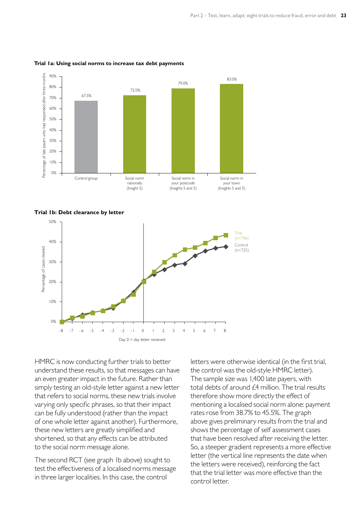

#### **Trial 1a: Using social norms to increase tax debt payments**





HMRC is now conducting further trials to better understand these results, so that messages can have an even greater impact in the future. Rather than simply testing an old-style letter against a new letter that refers to social norms, these new trials involve varying only specific phrases, so that their impact can be fully understood (rather than the impact of one whole letter against another). Furthermore, these new letters are greatly simplified and shortened, so that any effects can be attributed to the social norm message alone.

The second RCT (see graph 1b above) sought to test the effectiveness of a localised norms message in three larger localities. In this case, the control

letters were otherwise identical (in the first trial, the control was the old-style HMRC letter). The sample size was 1,400 late payers, with total debts of around  $£4$  million. The trial results therefore show more directly the effect of mentioning a localised social norm alone: payment rates rose from 38.7% to 45.5%. The graph above gives preliminary results from the trial and shows the percentage of self assessment cases that have been resolved after receiving the letter. So, a steeper gradient represents a more effective letter (the vertical line represents the date when the letters were received), reinforcing the fact that the trial letter was more effective than the control letter.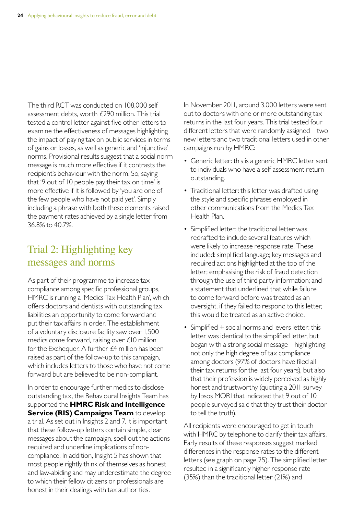The third RCT was conducted on 108,000 self assessment debts, worth £290 million. This trial tested a control letter against five other letters to examine the effectiveness of messages highlighting the impact of paying tax on public services in terms of gains or losses, as well as generic and 'injunctive' norms. Provisional results suggest that a social norm message is much more effective if it contrasts the recipient's behaviour with the norm. So, saying that '9 out of 10 people pay their tax on time' is more effective if it is followed by 'you are one of the few people who have not paid yet'. Simply including a phrase with both these elements raised the payment rates achieved by a single letter from 36�8% to 40�7%�

## Trial 2: Highlighting key messages and norms

As part of their programme to increase tax compliance among specific professional groups, HMRC is running a 'Medics Tax Health Plan', which offers doctors and dentists with outstanding tax liabilities an opportunity to come forward and put their tax affairs in order. The establishment of a voluntary disclosure facility saw over 1,500 medics come forward, raising over £10 million for the Exchequer. A further  $£4$  million has been raised as part of the follow-up to this campaign, which includes letters to those who have not come forward but are believed to be non-compliant.

In order to encourage further medics to disclose outstanding tax, the Behavioural Insights Team has supported the **HMRC Risk and Intelligence Service (RIS) Campaigns Team** to develop a trial. As set out in Insights 2 and 7, it is important that these follow-up letters contain simple, clear messages about the campaign, spell out the actions required and underline implications of noncompliance. In addition, Insight 5 has shown that most people rightly think of themselves as honest and law-abiding and may underestimate the degree to which their fellow citizens or professionals are honest in their dealings with tax authorities.

In November 2011, around 3,000 letters were sent out to doctors with one or more outstanding tax returns in the last four years. This trial tested four different letters that were randomly assigned – two new letters and two traditional letters used in other campaigns run by HMRC:

- Generic letter: this is a generic HMRC letter sent to individuals who have a self assessment return outstanding.
- Traditional letter: this letter was drafted using the style and specific phrases employed in other communications from the Medics Tax Health Plan.
- Simplified letter: the traditional letter was redrafted to include several features which were likely to increase response rate. These included: simplified language; key messages and required actions highlighted at the top of the letter; emphasising the risk of fraud detection through the use of third party information; and a statement that underlined that while failure to come forward before was treated as an oversight, if they failed to respond to this letter, this would be treated as an active choice.
- Simplified + social norms and levers letter: this letter was identical to the simplified letter, but began with a strong social message – highlighting not only the high degree of tax compliance among doctors (97% of doctors have filed all their tax returns for the last four years), but also that their profession is widely perceived as highly honest and trustworthy (quoting a 2011 survey by Ipsos MORI that indicated that 9 out of 10 people surveyed said that they trust their doctor to tell the truth).

All recipients were encouraged to get in touch with HMRC by telephone to clarify their tax affairs. Early results of these responses suggest marked differences in the response rates to the different letters (see graph on page 25). The simplified letter resulted in a significantly higher response rate (35%) than the traditional letter (21%) and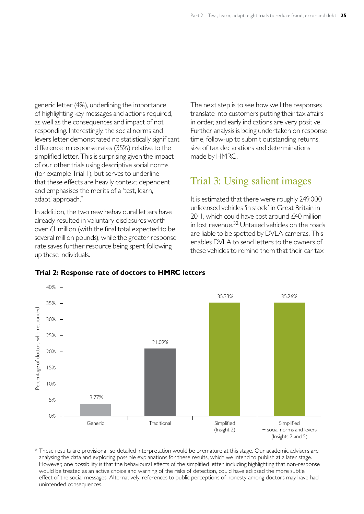generic letter (4%), underlining the importance of highlighting key messages and actions required, as well as the consequences and impact of not responding. Interestingly, the social norms and levers letter demonstrated no statistically significant difference in response rates (35%) relative to the simplified letter. This is surprising given the impact of our other trials using descriptive social norms (for example Trial 1), but serves to underline that these effects are heavily context dependent and emphasises the merits of a 'test, learn, adapt' approach.

In addition, the two new behavioural letters have already resulted in voluntary disclosures worth over £1 million (with the final total expected to be several million pounds), while the greater response rate saves further resource being spent following up these individuals.

The next step is to see how well the responses translate into customers putting their tax affairs in order, and early indications are very positive. Further analysis is being undertaken on response time, follow-up to submit outstanding returns, size of tax declarations and determinations made by HMRC.

### Trial 3: Using salient images

It is estimated that there were roughly 249,000 unlicensed vehicles 'in stock' in Great Britain in 2011, which could have cost around £40 million in lost revenue. $32$  Untaxed vehicles on the roads are liable to be spotted by DVLA cameras. This enables DVLA to send letters to the owners of these vehicles to remind them that their car tax



**Trial 2: Response rate of doctors to HMRC letters**

 $*$  These results are provisional, so detailed interpretation would be premature at this stage. Our academic advisers are analysing the data and exploring possible explanations for these results, which we intend to publish at a later stage. However, one possibility is that the behavioural effects of the simplified letter, including highlighting that non-response would be treated as an active choice and warning of the risks of detection, could have eclipsed the more subtle effect of the social messages. Alternatively, references to public perceptions of honesty among doctors may have had unintended consequences.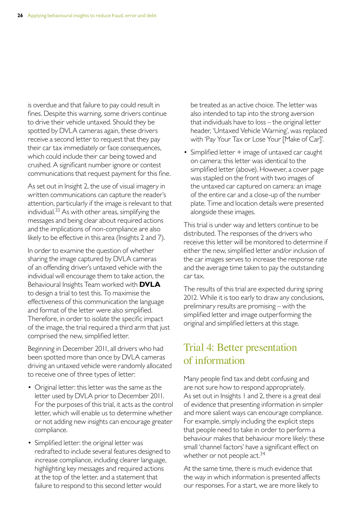is overdue and that failure to pay could result in fines. Despite this warning, some drivers continue to drive their vehicle untaxed. Should they be spotted by DVLA cameras again, these drivers receive a second letter to request that they pay their car tax immediately or face consequences, which could include their car being towed and crushed. A significant number ignore or contest communications that request payment for this fine.

As set out in Insight 2, the use of visual imagery in written communications can capture the reader's attention, particularly if the image is relevant to that individual.<sup>33</sup> As with other areas, simplifying the messages and being clear about required actions and the implications of non-compliance are also likely to be effective in this area (Insights 2 and 7).

In order to examine the question of whether sharing the image captured by DVLA cameras of an offending driver's untaxed vehicle with the individual will encourage them to take action, the Behavioural Insights Team worked with **DVLA**  to design a trial to test this. To maximise the effectiveness of this communication the language and format of the letter were also simplified. Therefore, in order to isolate the specific impact of the image, the trial required a third arm that just comprised the new, simplified letter.

Beginning in December 2011, all drivers who had been spotted more than once by DVLA cameras driving an untaxed vehicle were randomly allocated to receive one of three types of letter:

- Original letter: this letter was the same as the letter used by DVLA prior to December 2011. For the purposes of this trial, it acts as the control letter, which will enable us to determine whether or not adding new insights can encourage greater compliance.
- Simplified letter: the original letter was redrafted to include several features designed to increase compliance, including clearer language, highlighting key messages and required actions at the top of the letter, and a statement that failure to respond to this second letter would

be treated as an active choice. The letter was also intended to tap into the strong aversion that individuals have to loss – the original letter header, 'Untaxed Vehicle Warning', was replaced with 'Pay Your Tax or Lose Your [Make of Car]'.

• Simplified letter + image of untaxed car caught on camera: this letter was identical to the simplified letter (above). However, a cover page was stapled on the front with two images of the untaxed car captured on camera: an image of the entire car and a close-up of the number plate. Time and location details were presented alongside these images.

This trial is under way and letters continue to be distributed. The responses of the drivers who receive this letter will be monitored to determine if either the new, simplified letter and/or inclusion of the car images serves to increase the response rate and the average time taken to pay the outstanding car tax.

The results of this trial are expected during spring 2012. While it is too early to draw any conclusions, preliminary results are promising – with the simplified letter and image outperforming the original and simplified letters at this stage.

## Trial 4: Better presentation of information

Many people find tax and debt confusing and are not sure how to respond appropriately. As set out in Insights 1 and 2, there is a great deal of evidence that presenting information in simpler and more salient ways can encourage compliance. For example, simply including the explicit steps that people need to take in order to perform a behaviour makes that behaviour more likely: these small 'channel factors' have a significant effect on whether or not people  $act.^{34}$ 

At the same time, there is much evidence that the way in which information is presented affects our responses. For a start, we are more likely to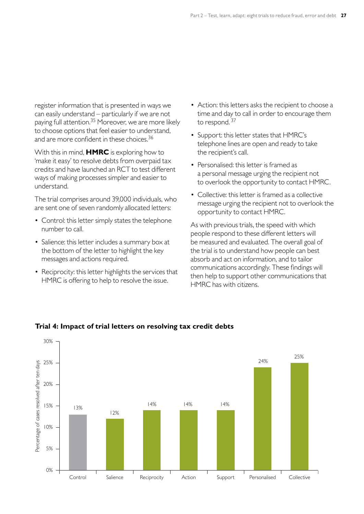register information that is presented in ways we can easily understand – particularly if we are not paying full attention.<sup>35</sup> Moreover, we are more likely to choose options that feel easier to understand, and are more confident in these choices.<sup>36</sup>

With this in mind, **HMRC** is exploring how to 'make it easy' to resolve debts from overpaid tax credits and have launched an RCT to test different ways of making processes simpler and easier to understand�

The trial comprises around 39,000 individuals, who are sent one of seven randomly allocated letters:

- Control: this letter simply states the telephone number to call.
- Salience: this letter includes a summary box at the bottom of the letter to highlight the key messages and actions required.
- Reciprocity: this letter highlights the services that HMRC is offering to help to resolve the issue.
- Action: this letters asks the recipient to choose a time and day to call in order to encourage them to respond.  $37$
- Support: this letter states that HMRC's telephone lines are open and ready to take the recipient's call.
- Personalised: this letter is framed as a personal message urging the recipient not to overlook the opportunity to contact HMRC.
- Collective: this letter is framed as a collective message urging the recipient not to overlook the opportunity to contact HMRC.

As with previous trials, the speed with which people respond to these different letters will be measured and evaluated. The overall goal of the trial is to understand how people can best absorb and act on information, and to tailor communications accordingly. These findings will then help to support other communications that HMRC has with citizens.



#### **Trial 4: Impact of trial letters on resolving tax credit debts**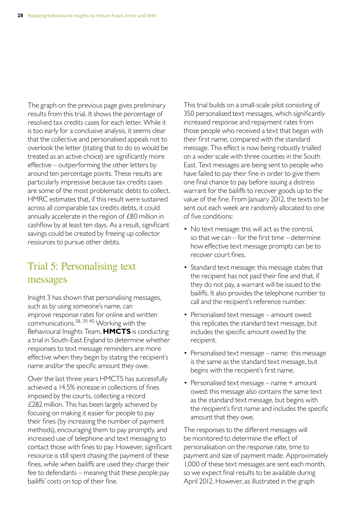The graph on the previous page gives preliminary results from this trial. It shows the percentage of resolved tax credits cases for each letter. While it is too early for a conclusive analysis, it seems clear that the collective and personalised appeals not to overlook the letter (stating that to do so would be treated as an active choice) are significantly more effective – outperforming the other letters by around ten percentage points. These results are particularly impressive because tax credits cases are some of the most problematic debts to collect. HMRC estimates that, if this result were sustained across all comparable tax credits debts, it could annually accelerate in the region of £80 million in cashflow by at least ten days. As a result, significant savings could be created by freeing up collector resources to pursue other debts.

## Trial 5: Personalising text messages

Insight 3 has shown that personalising messages, such as by using someone's name, can improve response rates for online and written communications.  $38, 39, 40$  Working with the Behavioural Insights Team, **HMCTS** is conducting a trial in South-East England to determine whether responses to text message reminders are more effective when they begin by stating the recipient's name and/or the specific amount they owe.

Over the last three years HMCTS has successfully achieved a 14.5% increase in collections of fines imposed by the courts, collecting a record  $£282$  million. This has been largely achieved by focusing on making it easier for people to pay their fines (by increasing the number of payment methods), encouraging them to pay promptly, and increased use of telephone and text messaging to contact those with fines to pay. However, significant resource is still spent chasing the payment of these fines, while when bailiffs are used they charge their fee to defendants – meaning that these people pay bailiffs' costs on top of their fine.

This trial builds on a small-scale pilot consisting of 350 personalised text messages, which significantly increased response and repayment rates from those people who received a text that began with their first name, compared with the standard message. This effect is now being robustly trialled on a wider scale with three counties in the South East. Text messages are being sent to people who have failed to pay their fine in order to give them one final chance to pay before issuing a distress warrant for the bailiffs to recover goods up to the value of the fine. From January 2012, the texts to be sent out each week are randomly allocated to one of five conditions:

- No text message: this will act as the control, so that we can – for the first time – determine how effective text message prompts can be to recover court fines.
- Standard text message: this message states that the recipient has not paid their fine and that, if they do not pay, a warrant will be issued to the bailiffs. It also provides the telephone number to call and the recipient's reference number.
- Personalised text message amount owed: this replicates the standard text message, but includes the specific amount owed by the recipient.
- Personalised text message name: this message is the same as the standard text message, but begins with the recipient's first name.
- Personalised text message name + amount owed: this message also contains the same text as the standard text message, but begins with the recipient's first name and includes the specific amount that they owe.

The responses to the different messages will be monitored to determine the effect of personalisation on the response rate, time to payment and size of payment made. Approximately 1,000 of these text messages are sent each month, so we expect final results to be available during April 2012. However, as illustrated in the graph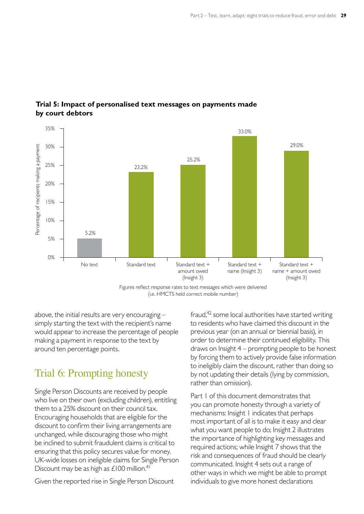

#### **Trial 5: Impact of personalised text messages on payments made by court debtors**

Figures reflect response rates to text messages which were delivered (i.e. HMCTS held correct mobile number)

above, the initial results are very encouraging – simply starting the text with the recipient's name would appear to increase the percentage of people making a payment in response to the text by around ten percentage points.

## Trial 6: Prompting honesty

Single Person Discounts are received by people who live on their own (excluding children), entitling them to a 25% discount on their council tax. Encouraging households that are eligible for the discount to confirm their living arrangements are unchanged, while discouraging those who might be inclined to submit fraudulent claims is critical to ensuring that this policy secures value for money. UK-wide losses on ineligible claims for Single Person Discount may be as high as  $£100$  million.<sup>41</sup>

Given the reported rise in Single Person Discount

fraud, $42$  some local authorities have started writing to residents who have claimed this discount in the previous year (on an annual or biennial basis), in order to determine their continued eligibility. This draws on Insight 4 – prompting people to be honest by forcing them to actively provide false information to ineligibly claim the discount, rather than doing so by not updating their details (lying by commission, rather than omission).

Part 1 of this document demonstrates that you can promote honesty through a variety of mechanisms: Insight 1 indicates that perhaps most important of all is to make it easy and clear what you want people to do; Insight 2 illustrates the importance of highlighting key messages and required actions; while Insight 7 shows that the risk and consequences of fraud should be clearly communicated. Insight 4 sets out a range of other ways in which we might be able to prompt individuals to give more honest declarations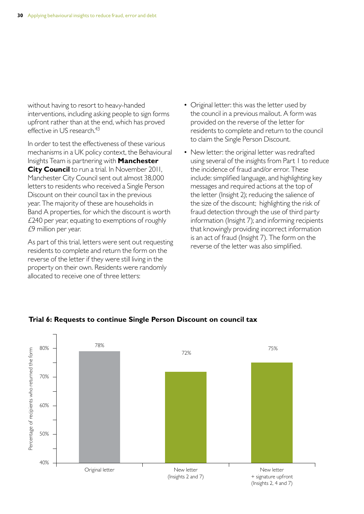without having to resort to heavy-handed interventions, including asking people to sign forms upfront rather than at the end, which has proved effective in US research.<sup>43</sup>

In order to test the effectiveness of these various mechanisms in a UK policy context, the Behavioural Insights Team is partnering with **Manchester City Council** to run a trial. In November 2011, Manchester City Council sent out almost 38,000 letters to residents who received a Single Person Discount on their council tax in the previous year. The majority of these are households in Band A properties, for which the discount is worth £240 per year, equating to exemptions of roughly  $£9$  million per year.

As part of this trial, letters were sent out requesting residents to complete and return the form on the reverse of the letter if they were still living in the property on their own. Residents were randomly allocated to receive one of three letters:

- Original letter: this was the letter used by the council in a previous mailout. A form was provided on the reverse of the letter for residents to complete and return to the council to claim the Single Person Discount.
- New letter: the original letter was redrafted using several of the insights from Part 1 to reduce the incidence of fraud and/or error. These include: simplified language, and highlighting key messages and required actions at the top of the letter (Insight 2); reducing the salience of the size of the discount; highlighting the risk of fraud detection through the use of third party information (Insight 7); and informing recipients that knowingly providing incorrect information is an act of fraud (Insight 7). The form on the reverse of the letter was also simplified.



#### **Trial 6: Requests to continue Single Person Discount on council tax**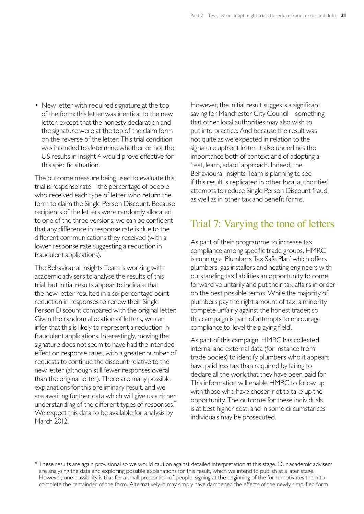• New letter with required signature at the top of the form: this letter was identical to the new letter, except that the honesty declaration and the signature were at the top of the claim form on the reverse of the letter. This trial condition was intended to determine whether or not the US results in Insight 4 would prove effective for this specific situation.

The outcome measure being used to evaluate this trial is response rate – the percentage of people who received each type of letter who return the form to claim the Single Person Discount. Because recipients of the letters were randomly allocated to one of the three versions, we can be confident that any difference in response rate is due to the different communications they received (with a lower response rate suggesting a reduction in fraudulent applications).

The Behavioural Insights Team is working with academic advisers to analyse the results of this trial, but initial results appear to indicate that the new letter resulted in a six percentage point reduction in responses to renew their Single Person Discount compared with the original letter. Given the random allocation of letters, we can infer that this is likely to represent a reduction in fraudulent applications. Interestingly, moving the signature does not seem to have had the intended effect on response rates, with a greater number of requests to continue the discount relative to the new letter (although still fewer responses overall than the original letter). There are many possible explanations for this preliminary result, and we are awaiting further data which will give us a richer understanding of the different types of responses. We expect this data to be available for analysis by March 2012.

However, the initial result suggests a significant saving for Manchester City Council – something that other local authorities may also wish to put into practice. And because the result was not quite as we expected in relation to the signature upfront letter, it also underlines the importance both of context and of adopting a 'test, learn, adapt' approach. Indeed, the Behavioural Insights Team is planning to see if this result is replicated in other local authorities' attempts to reduce Single Person Discount fraud, as well as in other tax and benefit forms.

### Trial 7: Varying the tone of letters

As part of their programme to increase tax compliance among specific trade groups, HMRC is running a 'Plumbers Tax Safe Plan' which offers plumbers, gas installers and heating engineers with outstanding tax liabilities an opportunity to come forward voluntarily and put their tax affairs in order on the best possible terms. While the majority of plumbers pay the right amount of tax, a minority compete unfairly against the honest trader, so this campaign is part of attempts to encourage compliance to 'level the playing field'.

As part of this campaign, HMRC has collected internal and external data (for instance from trade bodies) to identify plumbers who it appears have paid less tax than required by failing to declare all the work that they have been paid for. This information will enable HMRC to follow up with those who have chosen not to take up the opportunity. The outcome for these individuals is at best higher cost, and in some circumstances individuals may be prosecuted.

 $*$  These results are again provisional so we would caution against detailed interpretation at this stage. Our academic advisers are analysing the data and exploring possible explanations for this result, which we intend to publish at a later stage. However, one possibility is that for a small proportion of people, signing at the beginning of the form motivates them to complete the remainder of the form. Alternatively, it may simply have dampened the effects of the newly simplified form.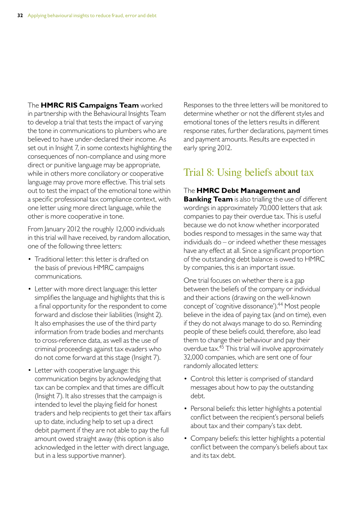The **HMRC RIS Campaigns Team** worked in partnership with the Behavioural Insights Team to develop a trial that tests the impact of varying the tone in communications to plumbers who are believed to have under-declared their income. As set out in Insight 7, in some contexts highlighting the consequences of non-compliance and using more direct or punitive language may be appropriate, while in others more conciliatory or cooperative language may prove more effective. This trial sets out to test the impact of the emotional tone within a specific professional tax compliance context, with one letter using more direct language, while the other is more cooperative in tone.

From January 2012 the roughly 12,000 individuals in this trial will have received, by random allocation, one of the following three letters:

- Traditional letter: this letter is drafted on the basis of previous HMRC campaigns communications.
- Letter with more direct language: this letter simplifies the language and highlights that this is a final opportunity for the respondent to come forward and disclose their liabilities (Insight 2). It also emphasises the use of the third party information from trade bodies and merchants to cross-reference data, as well as the use of criminal proceedings against tax evaders who do not come forward at this stage (Insight 7).
- Letter with cooperative language: this communication begins by acknowledging that tax can be complex and that times are difficult (Insight 7). It also stresses that the campaign is intended to level the playing field for honest traders and help recipients to get their tax affairs up to date, including help to set up a direct debit payment if they are not able to pay the full amount owed straight away (this option is also acknowledged in the letter with direct language, but in a less supportive manner).

Responses to the three letters will be monitored to determine whether or not the different styles and emotional tones of the letters results in different response rates, further declarations, payment times and payment amounts. Results are expected in early spring 2012.

### Trial 8: Using beliefs about tax

#### The **HMRC Debt Management and**

**Banking Team** is also trialling the use of different wordings in approximately 70,000 letters that ask companies to pay their overdue tax. This is useful because we do not know whether incorporated bodies respond to messages in the same way that individuals do – or indeed whether these messages have any effect at all. Since a significant proportion of the outstanding debt balance is owed to HMRC by companies, this is an important issue.

One trial focuses on whether there is a gap between the beliefs of the company or individual and their actions (drawing on the well-known concept of 'cognitive dissonance').<sup>44</sup> Most people believe in the idea of paying tax (and on time), even if they do not always manage to do so. Reminding people of these beliefs could, therefore, also lead them to change their behaviour and pay their overdue tax.<sup>45</sup> This trial will involve approximately 32,000 companies, which are sent one of four randomly allocated letters:

- Control: this letter is comprised of standard messages about how to pay the outstanding debt.
- Personal beliefs: this letter highlights a potential conflict between the recipient's personal beliefs about tax and their company's tax debt.
- Company beliefs: this letter highlights a potential conflict between the company's beliefs about tax and its tax debt.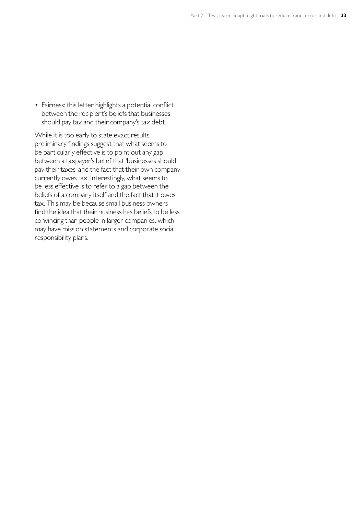• Fairness: this letter highlights a potential conflict between the recipient's beliefs that businesses should pay tax and their company's tax debt.

While it is too early to state exact results, preliminary findings suggest that what seems to be particularly effective is to point out any gap between a taxpayer's belief that 'businesses should pay their taxes' and the fact that their own company currently owes tax. Interestingly, what seems to be less effective is to refer to a gap between the beliefs of a company itself and the fact that it owes tax. This may be because small business owners find the idea that their business has beliefs to be less convincing than people in larger companies, which may have mission statements and corporate social responsibility plans.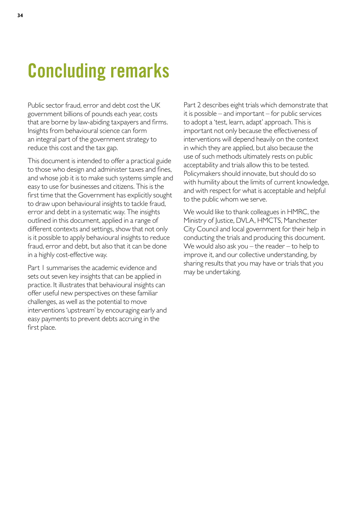## **Concluding remarks**

Public sector fraud, error and debt cost the UK government billions of pounds each year, costs that are borne by law-abiding taxpayers and firms. Insights from behavioural science can form an integral part of the government strategy to reduce this cost and the tax gap.

This document is intended to offer a practical guide to those who design and administer taxes and fines, and whose job it is to make such systems simple and easy to use for businesses and citizens. This is the first time that the Government has explicitly sought to draw upon behavioural insights to tackle fraud, error and debt in a systematic way. The insights outlined in this document, applied in a range of different contexts and settings, show that not only is it possible to apply behavioural insights to reduce fraud, error and debt, but also that it can be done in a highly cost-effective way.

Part 1 summarises the academic evidence and sets out seven key insights that can be applied in practice. It illustrates that behavioural insights can offer useful new perspectives on these familiar challenges, as well as the potential to move interventions 'upstream' by encouraging early and easy payments to prevent debts accruing in the first place.

Part 2 describes eight trials which demonstrate that it is possible – and important – for public services to adopt a 'test, learn, adapt' approach. This is important not only because the effectiveness of interventions will depend heavily on the context in which they are applied, but also because the use of such methods ultimately rests on public acceptability and trials allow this to be tested. Policymakers should innovate, but should do so with humility about the limits of current knowledge, and with respect for what is acceptable and helpful to the public whom we serve.

We would like to thank colleagues in HMRC, the Ministry of Justice, DVLA, HMCTS, Manchester City Council and local government for their help in conducting the trials and producing this document. We would also ask you – the reader – to help to improve it, and our collective understanding, by sharing results that you may have or trials that you may be undertaking.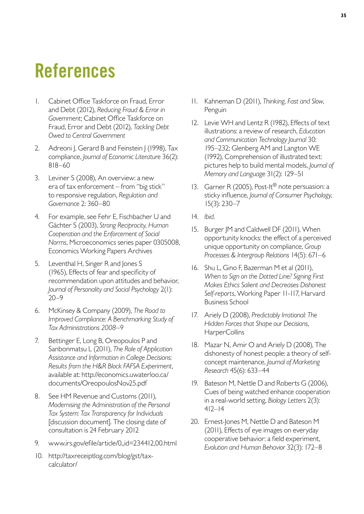## **References**

- 1. Cabinet Office Taskforce on Fraud, Error and Debt (2012), *Reducing Fraud & Error in Government*; Cabinet Office Taskforce on Fraud, Error and Debt (2012), *Tackling Debt Owed to Central Government*
- 2. Adreoni J, Gerard B and Feinstein J (1998), Tax compliance, *Journal of Economic Literature* 36(2): 818–60
- 3. Leviner S (2008), An overview: a new era of tax enforcement – from "big stick" to responsive regulation, *Regulation and Governance* 2: 360–80
- 4. For example, see Fehr E, Fischbacher U and Gächter S (2003), *Strong Reciprocity, Human Cooperation and the Enforcement of Social Norms*, Microeconomics series paper 0305008, Economics Working Papers Archives
- 5. Leventhal H, Singer R and Jones S (1965), Effects of fear and specificity of recommendation upon attitudes and behavior, *Journal of Personality and Social Psychology* 2(1): 20–9
- 6� McKinsey & Company (2009), *The Road to Improved Compliance: A Benchmarking Study of Tax Administrations 2008–9*
- 7. Bettinger E, Long B, Oreopoulos P and Sanbonmatsu L (2011), *The Role of Application Assistance and Information in College Decisions: Results from the H&R Block FAFSA Experiment*, available at: http://economics.uwaterloo.ca/ documents/OreopoulosNov25.pdf
- 8. See HM Revenue and Customs (2011), *Modernising the Administration of the Personal Tax System: Tax Transparency for Individuals*  [discussion document]. The closing date of consultation is 24 February 2012
- 9. www.irs.gov/efile/article/0,,id=234412,00.html
- 10. http://taxreceiptlog.com/blog/gst/taxcalculator/
- 11� Kahneman D (2011), *Thinking, Fast and Slow*, Penguin
- 12. Levie WH and Lentz R (1982), Effects of text illustrations: a review of research, *Education and Communication Technology Journal* 30: 195–232; Glenberg AM and Langton WE (1992), Comprehension of illustrated text: pictures help to build mental models, *Journal of Memory and Language* 31(2): 129–51
- 13. Garner R (2005), Post-It<sup>®</sup> note persuasion: a sticky influence, *Journal of Consumer Psychology*, 15(3): 230–7
- 14. *Ibid.*
- 15. Burger JM and Caldwell DF (2011), When opportunity knocks: the effect of a perceived unique opportunity on compliance, *Group Processes & Intergroup Relations* 14(5): 671–6
- 16. Shu L, Gino F, Bazerman M et al (2011), *When to Sign on the Dotted Line? Signing First Makes Ethics Salient and Decreases Dishonest Self-reports*, Working Paper 11-117, Harvard Business School
- 17. Ariely D (2008), Predictably Irrational: The *Hidden Forces that Shape our Decisions*, HarperCollins
- 18. Mazar N, Amir O and Ariely D (2008), The dishonesty of honest people: a theory of selfconcept maintenance, *Journal of Marketing Research* 45(6): 633–44
- 19. Bateson M, Nettle D and Roberts G (2006), Cues of being watched enhance cooperation in a real-world setting, *Biology Letters* 2(3): 412–14
- 20. Ernest-Jones M, Nettle D and Bateson M (2011), Effects of eye images on everyday cooperative behavior: a field experiment, *Evolution and Human Behavior* 32(3): 172–8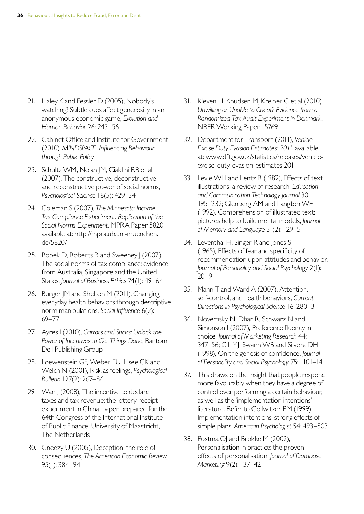- 21. Haley K and Fessler D (2005), Nobody's watching? Subtle cues affect generosity in an anonymous economic game, *Evolution and Human Behavior* 26: 245–56
- 22. Cabinet Office and Institute for Government (2010), *MINDSPACE: Influencing Behaviour through Public Policy*
- 23. Schultz WM, Nolan JM, Cialdini RB et al (2007), The constructive, deconstructive and reconstructive power of social norms, *Psychological Science* 18(5): 429–34
- 24� Coleman S (2007), *The Minnesota Income Tax Compliance Experiment: Replication of the Social Norms Experiment*, MPRA Paper 5820, available at: http://mpra.ub.uni-muenchen. de/5820/
- 25. Bobek D, Roberts R and Sweeney J (2007), The social norms of tax compliance: evidence from Australia, Singapore and the United States, *Journal of Business Ethics* 74(1): 49–64
- 26. Burger JM and Shelton M (2011), Changing everyday health behaviors through descriptive norm manipulations, *Social Influence* 6(2): 69–77
- 27� Ayres I (2010), *Carrots and Sticks: Unlock the Power of Incentives to Get Things Done*, Bantom Dell Publishing Group
- 28. Loewenstein GF, Weber EU, Hsee CK and Welch N (2001), Risk as feelings, *Psychological Bulletin* 127(2): 267–86
- 29. Wan J (2008), The incentive to declare taxes and tax revenue: the lottery receipt experiment in China, paper prepared for the 64th Congress of the International Institute of Public Finance, University of Maastricht, The Netherlands
- 30. Gneezy U (2005), Deception: the role of consequences, *The American Economic Review*, 95(1): 384–94
- 31. Kleven H, Knudsen M, Kreiner C et al (2010), *Unwilling or Unable to Cheat? Evidence from a Randomized Tax Audit Experiment in Denmark*, NBER Working Paper 15769
- 32� Department for Transport (2011), *Vehicle Excise Duty Evasion Estimates: 2011*, available at: www.dft.gov.uk/statistics/releases/vehicleexcise-[duty-evasion-estimates-2011](http://www.dft.gov.uk/statistics/releases/vehicle-excise-duty-evasion-estimates-2011)
- 33. Levie WH and Lentz R (1982), Effects of text illustrations: a review of research, *Education and Communication Technology Journal* 30: 195–232; Glenberg AM and Langton WE (1992), Comprehension of illustrated text: pictures help to build mental models, *Journal of Memory and Language* 31(2): 129–51
- 34. Leventhal H, Singer R and Jones S (1965), Effects of fear and specificity of recommendation upon attitudes and behavior, *Journal of Personality and Social Psychology* 2(1): 20–9
- 35. Mann T and Ward A (2007), Attention, self-control, and health behaviors, *Current Directions in Psychological Science* 16: 280–3
- 36. Novemsky N, Dhar R, Schwarz N and Simonson I (2007), Preference fluency in choice, *Journal of Marketing Research* 44: 347–56; Gill MJ, Swann WB and Silvera DH (1998), On the genesis of confidence, *Journal of Personality and Social Psychology* 75: 1101–14
- 37. This draws on the insight that people respond more favourably when they have a degree of control over performing a certain behaviour, as well as the 'implementation intentions' literature. Refer to Gollwitzer PM (1999), Implementation intentions: strong effects of simple plans, *American Psychologist* 54: 493–503
- 38. Postma OJ and Brokke M (2002), Personalisation in practice: the proven effects of personalisation, *Journal of Database Marketing* 9(2): 137–42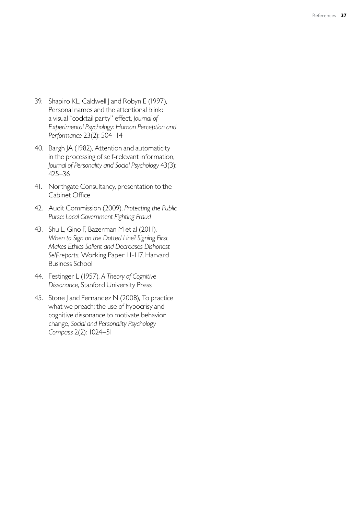- 39. Shapiro KL, Caldwell J and Robyn E (1997), Personal names and the attentional blink: a visual "cocktail party" effect, *Journal of Experimental Psychology: Human Perception and Performance* 23(2): 504–14
- 40. Bargh JA (1982), Attention and automaticity in the processing of self-relevant information, *Journal of Personality and Social Psychology* 43(3): 425–36
- 41. Northgate Consultancy, presentation to the Cabinet Office
- 42� Audit Commission (2009), *Protecting the Public Purse: Local Government Fighting Fraud*
- 43. Shu L, Gino F, Bazerman M et al (2011), *When to Sign on the Dotted Line? Signing First Makes Ethics Salient and Decreases Dishonest Self-reports*, Working Paper 11-117, Harvard Business School
- 44� Festinger L (1957), *A Theory of Cognitive Dissonance*, Stanford University Press
- 45. Stone J and Fernandez N (2008), To practice what we preach: the use of hypocrisy and cognitive dissonance to motivate behavior change, *Social and Personality Psychology Compass* 2(2): 1024–51